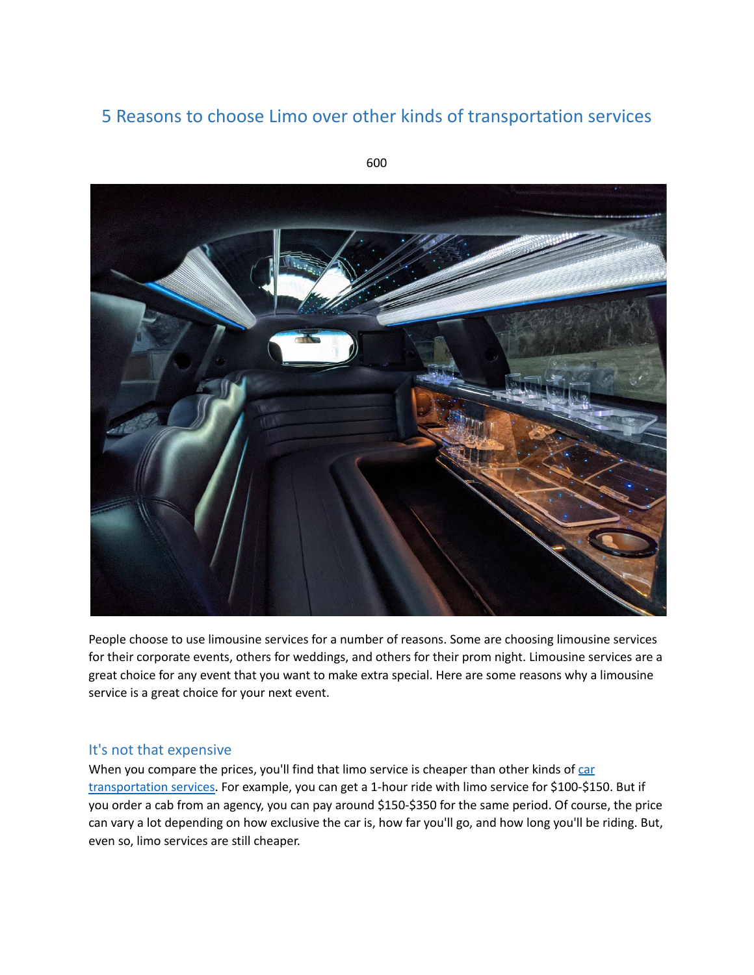# 5 Reasons to choose Limo over other kinds of transportation services



People choose to use limousine services for a number of reasons. Some are choosing limousine services for their corporate events, others for weddings, and others for their prom night. Limousine services are a great choice for any event that you want to make extra special. Here are some reasons why a limousine service is a great choice for your next event.

#### It's not that expensive

When you compare the prices, you'll find that limo service is cheaper than other kinds of [car](https://www.c3limo.com/) [transportation](https://www.c3limo.com/) services. For example, you can get a 1-hour ride with limo service for \$100-\$150. But if you order a cab from an agency, you can pay around \$150-\$350 for the same period. Of course, the price can vary a lot depending on how exclusive the car is, how far you'll go, and how long you'll be riding. But, even so, limo services are still cheaper.

600